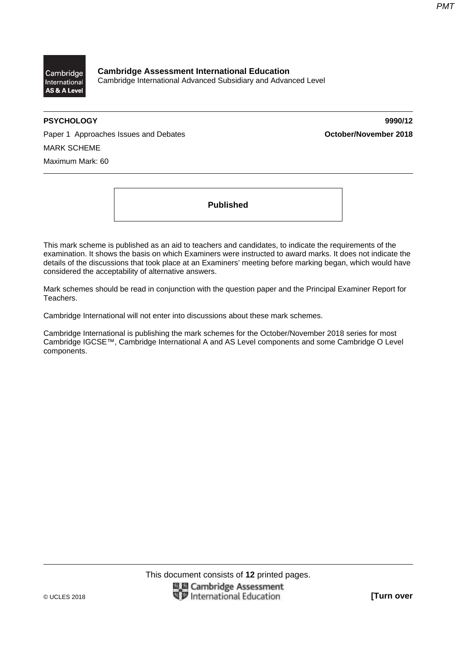

**Cambridge Assessment International Education**  Cambridge International Advanced Subsidiary and Advanced Level

**PSYCHOLOGY 9990/12** 

Paper 1 Approaches Issues and Debates **Conservery Active Act of Case Conservery Act of Paper 1 Approaches 2018** MARK SCHEME Maximum Mark: 60

**Published** 

This mark scheme is published as an aid to teachers and candidates, to indicate the requirements of the examination. It shows the basis on which Examiners were instructed to award marks. It does not indicate the details of the discussions that took place at an Examiners' meeting before marking began, which would have considered the acceptability of alternative answers.

Mark schemes should be read in conjunction with the question paper and the Principal Examiner Report for Teachers.

Cambridge International will not enter into discussions about these mark schemes.

Cambridge International is publishing the mark schemes for the October/November 2018 series for most Cambridge IGCSE™, Cambridge International A and AS Level components and some Cambridge O Level components.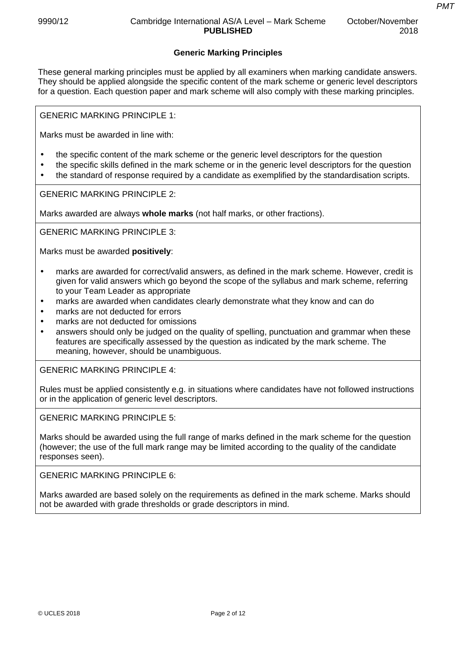## **Generic Marking Principles**

These general marking principles must be applied by all examiners when marking candidate answers. They should be applied alongside the specific content of the mark scheme or generic level descriptors for a question. Each question paper and mark scheme will also comply with these marking principles.

GENERIC MARKING PRINCIPLE 1:

Marks must be awarded in line with:

- the specific content of the mark scheme or the generic level descriptors for the question
- the specific skills defined in the mark scheme or in the generic level descriptors for the question
- the standard of response required by a candidate as exemplified by the standardisation scripts.

GENERIC MARKING PRINCIPLE 2:

Marks awarded are always **whole marks** (not half marks, or other fractions).

GENERIC MARKING PRINCIPLE 3:

Marks must be awarded **positively**:

- marks are awarded for correct/valid answers, as defined in the mark scheme. However, credit is given for valid answers which go beyond the scope of the syllabus and mark scheme, referring to your Team Leader as appropriate
- marks are awarded when candidates clearly demonstrate what they know and can do
- marks are not deducted for errors
- marks are not deducted for omissions
- answers should only be judged on the quality of spelling, punctuation and grammar when these features are specifically assessed by the question as indicated by the mark scheme. The meaning, however, should be unambiguous.

GENERIC MARKING PRINCIPLE 4:

Rules must be applied consistently e.g. in situations where candidates have not followed instructions or in the application of generic level descriptors.

GENERIC MARKING PRINCIPLE 5:

Marks should be awarded using the full range of marks defined in the mark scheme for the question (however; the use of the full mark range may be limited according to the quality of the candidate responses seen).

GENERIC MARKING PRINCIPLE 6:

Marks awarded are based solely on the requirements as defined in the mark scheme. Marks should not be awarded with grade thresholds or grade descriptors in mind.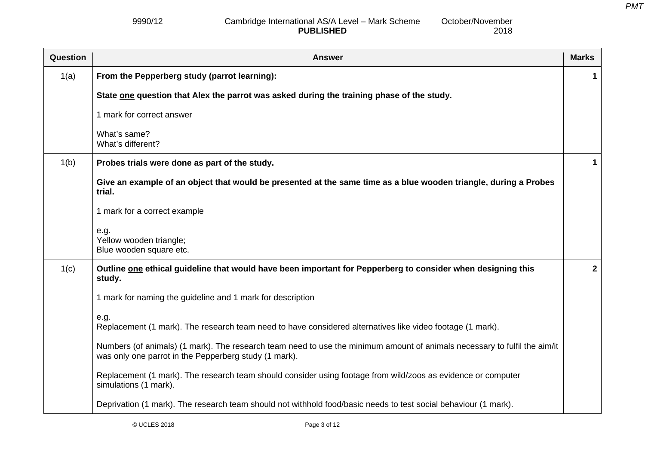2018

#### 9990/12 Cambridge International AS/A Level – Mark Scheme **PUBLISHED** October/November

| Question | <b>Answer</b>                                                                                                                                                                      | <b>Marks</b> |
|----------|------------------------------------------------------------------------------------------------------------------------------------------------------------------------------------|--------------|
| 1(a)     | From the Pepperberg study (parrot learning):                                                                                                                                       |              |
|          | State one question that Alex the parrot was asked during the training phase of the study.                                                                                          |              |
|          | 1 mark for correct answer                                                                                                                                                          |              |
|          | What's same?<br>What's different?                                                                                                                                                  |              |
| 1(b)     | Probes trials were done as part of the study.                                                                                                                                      |              |
|          | Give an example of an object that would be presented at the same time as a blue wooden triangle, during a Probes<br>trial.                                                         |              |
|          | 1 mark for a correct example                                                                                                                                                       |              |
|          | e.g.<br>Yellow wooden triangle;<br>Blue wooden square etc.                                                                                                                         |              |
| 1(c)     | Outline one ethical guideline that would have been important for Pepperberg to consider when designing this<br>study.                                                              | $\mathbf{2}$ |
|          | 1 mark for naming the guideline and 1 mark for description                                                                                                                         |              |
|          | e.g.<br>Replacement (1 mark). The research team need to have considered alternatives like video footage (1 mark).                                                                  |              |
|          | Numbers (of animals) (1 mark). The research team need to use the minimum amount of animals necessary to fulfil the aim/it<br>was only one parrot in the Pepperberg study (1 mark). |              |
|          | Replacement (1 mark). The research team should consider using footage from wild/zoos as evidence or computer<br>simulations (1 mark).                                              |              |
|          | Deprivation (1 mark). The research team should not withhold food/basic needs to test social behaviour (1 mark).                                                                    |              |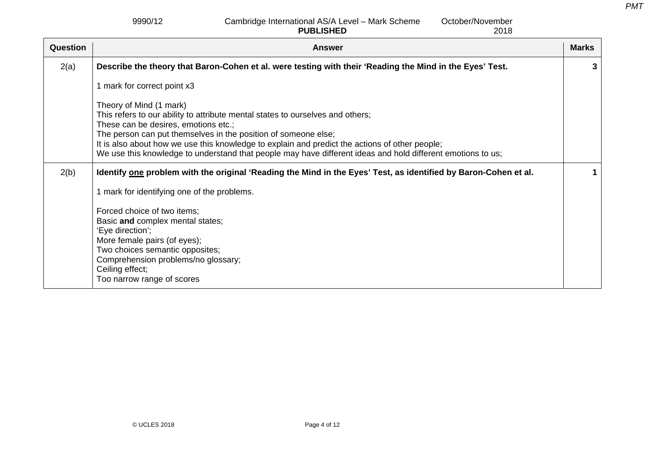9990/12 Cambridge International AS/A Level – Mark Scheme **PUBLISHED** October/November

2018

| Question | <b>Answer</b>                                                                                                                                                                                                                                                                                                                                                                                                                        | <b>Marks</b> |
|----------|--------------------------------------------------------------------------------------------------------------------------------------------------------------------------------------------------------------------------------------------------------------------------------------------------------------------------------------------------------------------------------------------------------------------------------------|--------------|
| 2(a)     | Describe the theory that Baron-Cohen et al. were testing with their 'Reading the Mind in the Eyes' Test.                                                                                                                                                                                                                                                                                                                             | 3            |
|          | 1 mark for correct point x3                                                                                                                                                                                                                                                                                                                                                                                                          |              |
|          | Theory of Mind (1 mark)<br>This refers to our ability to attribute mental states to ourselves and others;<br>These can be desires, emotions etc.;<br>The person can put themselves in the position of someone else;<br>It is also about how we use this knowledge to explain and predict the actions of other people;<br>We use this knowledge to understand that people may have different ideas and hold different emotions to us; |              |
| 2(b)     | Identify one problem with the original 'Reading the Mind in the Eyes' Test, as identified by Baron-Cohen et al.                                                                                                                                                                                                                                                                                                                      | 1            |
|          | 1 mark for identifying one of the problems.                                                                                                                                                                                                                                                                                                                                                                                          |              |
|          | Forced choice of two items;<br>Basic and complex mental states;<br>'Eye direction';<br>More female pairs (of eyes);<br>Two choices semantic opposites;<br>Comprehension problems/no glossary;<br>Ceiling effect;<br>Too narrow range of scores                                                                                                                                                                                       |              |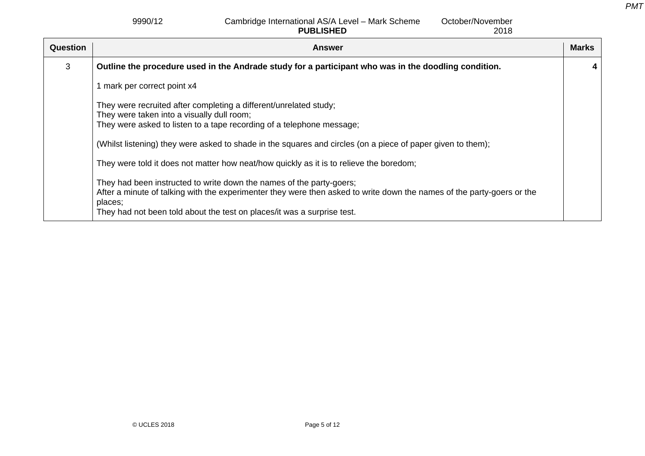### 9990/12 Cambridge International AS/A Level – Mark Scheme **PUBLISHED**

| <b>Question</b> | <b>Answer</b>                                                                                                                                                                                                                                                                        | <b>Marks</b> |
|-----------------|--------------------------------------------------------------------------------------------------------------------------------------------------------------------------------------------------------------------------------------------------------------------------------------|--------------|
| 3               | Outline the procedure used in the Andrade study for a participant who was in the doodling condition.                                                                                                                                                                                 |              |
|                 | mark per correct point x4                                                                                                                                                                                                                                                            |              |
|                 | They were recruited after completing a different/unrelated study;<br>They were taken into a visually dull room;<br>They were asked to listen to a tape recording of a telephone message;                                                                                             |              |
|                 | (Whilst listening) they were asked to shade in the squares and circles (on a piece of paper given to them);                                                                                                                                                                          |              |
|                 | They were told it does not matter how neat/how quickly as it is to relieve the boredom;                                                                                                                                                                                              |              |
|                 | They had been instructed to write down the names of the party-goers;<br>After a minute of talking with the experimenter they were then asked to write down the names of the party-goers or the<br>places;<br>They had not been told about the test on places/it was a surprise test. |              |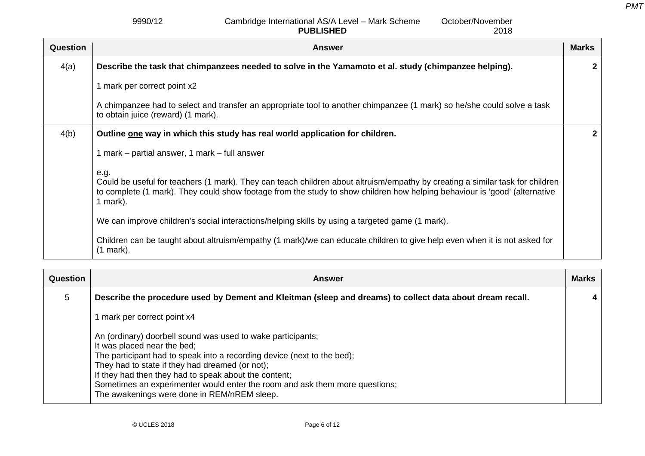#### 9990/12 Cambridge International AS/A Level – Mark Scheme **PUBLISHED** October/November

|                 | <b>PUBLISHED</b><br>2018                                                                                                                                                                                                                                                        |              |
|-----------------|---------------------------------------------------------------------------------------------------------------------------------------------------------------------------------------------------------------------------------------------------------------------------------|--------------|
| <b>Question</b> | <b>Answer</b>                                                                                                                                                                                                                                                                   | <b>Marks</b> |
| 4(a)            | Describe the task that chimpanzees needed to solve in the Yamamoto et al. study (chimpanzee helping).                                                                                                                                                                           | $\mathbf{2}$ |
|                 | 1 mark per correct point x2                                                                                                                                                                                                                                                     |              |
|                 | A chimpanzee had to select and transfer an appropriate tool to another chimpanzee (1 mark) so he/she could solve a task<br>to obtain juice (reward) (1 mark).                                                                                                                   |              |
| 4(b)            | Outline one way in which this study has real world application for children.                                                                                                                                                                                                    | $\mathbf{2}$ |
|                 | 1 mark – partial answer, 1 mark – full answer                                                                                                                                                                                                                                   |              |
|                 | e.g.<br>Could be useful for teachers (1 mark). They can teach children about altruism/empathy by creating a similar task for children<br>to complete (1 mark). They could show footage from the study to show children how helping behaviour is 'good' (alternative<br>1 mark). |              |
|                 | We can improve children's social interactions/helping skills by using a targeted game (1 mark).                                                                                                                                                                                 |              |
|                 | Children can be taught about altruism/empathy (1 mark)/we can educate children to give help even when it is not asked for<br>$(1$ mark).                                                                                                                                        |              |

| <b>Question</b> | Answer                                                                                                                                                                                                                                                                                                                                                                                                          | <b>Marks</b>            |
|-----------------|-----------------------------------------------------------------------------------------------------------------------------------------------------------------------------------------------------------------------------------------------------------------------------------------------------------------------------------------------------------------------------------------------------------------|-------------------------|
| 5               | Describe the procedure used by Dement and Kleitman (sleep and dreams) to collect data about dream recall.                                                                                                                                                                                                                                                                                                       | $\overline{\mathbf{4}}$ |
|                 | mark per correct point x4                                                                                                                                                                                                                                                                                                                                                                                       |                         |
|                 | An (ordinary) doorbell sound was used to wake participants;<br>It was placed near the bed;<br>The participant had to speak into a recording device (next to the bed);<br>They had to state if they had dreamed (or not);<br>If they had then they had to speak about the content;<br>Sometimes an experimenter would enter the room and ask them more questions;<br>The awakenings were done in REM/nREM sleep. |                         |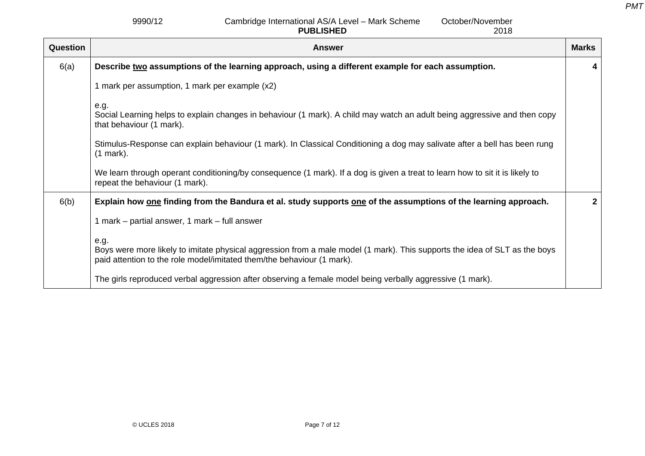2018

9990/12 Cambridge International AS/A Level – Mark Scheme **PUBLISHED**October/November

**Question Answer Marks 2016 19:00 Answer Marks 2016 19:00 Answer Marks 20:00 Answer Marks 20:00 Answer Marks 20:00** 6(a) **Describe two assumptions of the learning approach, using a different example for each assumption.**  1 mark per assumption, 1 mark per example (x2) e.g. Social Learning helps to explain changes in behaviour (1 mark). A child may watch an adult being aggressive and then copy that behaviour (1 mark). Stimulus-Response can explain behaviour (1 mark). In Classical Conditioning a dog may salivate after a bell has been rung (1 mark). We learn through operant conditioning/by consequence (1 mark). If a dog is given a treat to learn how to sit it is likely to repeat the behaviour (1 mark). **4** 6(b) **Explain how one finding from the Bandura et al. study supports one of the assumptions of the learning approach.**  1 mark – partial answer, 1 mark – full answer e.g. Boys were more likely to imitate physical aggression from a male model (1 mark). This supports the idea of SLT as the boys paid attention to the role model/imitated them/the behaviour (1 mark). The girls reproduced verbal aggression after observing a female model being verbally aggressive (1 mark). **2**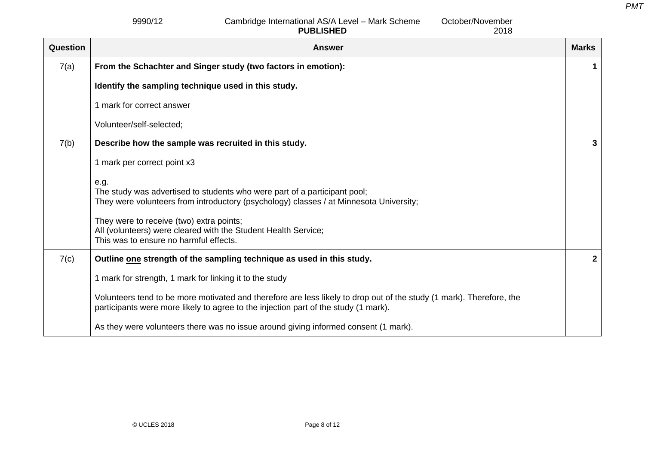9990/12 Cambridge International AS/A Level – Mark Scheme **PUBLISHED**

| <b>Question</b> | <b>Answer</b>                                                                                                                                                                                               | <b>Marks</b> |
|-----------------|-------------------------------------------------------------------------------------------------------------------------------------------------------------------------------------------------------------|--------------|
| 7(a)            | From the Schachter and Singer study (two factors in emotion):                                                                                                                                               | 1            |
|                 | Identify the sampling technique used in this study.                                                                                                                                                         |              |
|                 | 1 mark for correct answer                                                                                                                                                                                   |              |
|                 | Volunteer/self-selected;                                                                                                                                                                                    |              |
| 7(b)            | Describe how the sample was recruited in this study.                                                                                                                                                        | 3            |
|                 | 1 mark per correct point x3                                                                                                                                                                                 |              |
|                 | e.g.<br>The study was advertised to students who were part of a participant pool;<br>They were volunteers from introductory (psychology) classes / at Minnesota University;                                 |              |
|                 | They were to receive (two) extra points;<br>All (volunteers) were cleared with the Student Health Service;<br>This was to ensure no harmful effects.                                                        |              |
| 7(c)            | Outline one strength of the sampling technique as used in this study.                                                                                                                                       | $\mathbf 2$  |
|                 | 1 mark for strength, 1 mark for linking it to the study                                                                                                                                                     |              |
|                 | Volunteers tend to be more motivated and therefore are less likely to drop out of the study (1 mark). Therefore, the<br>participants were more likely to agree to the injection part of the study (1 mark). |              |
|                 | As they were volunteers there was no issue around giving informed consent (1 mark).                                                                                                                         |              |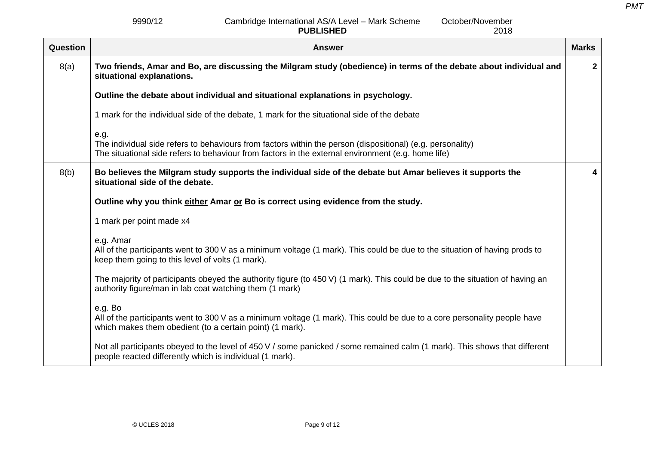9990/12 Cambridge International AS/A Level – Mark Scheme **PUBLISHED**

| Question | <b>Answer</b>                                                                                                                                                                                                            | <b>Marks</b>   |
|----------|--------------------------------------------------------------------------------------------------------------------------------------------------------------------------------------------------------------------------|----------------|
| 8(a)     | Two friends, Amar and Bo, are discussing the Milgram study (obedience) in terms of the debate about individual and<br>situational explanations.                                                                          | $\overline{2}$ |
|          | Outline the debate about individual and situational explanations in psychology.                                                                                                                                          |                |
|          | 1 mark for the individual side of the debate, 1 mark for the situational side of the debate                                                                                                                              |                |
|          | e.g.<br>The individual side refers to behaviours from factors within the person (dispositional) (e.g. personality)<br>The situational side refers to behaviour from factors in the external environment (e.g. home life) |                |
| 8(b)     | Bo believes the Milgram study supports the individual side of the debate but Amar believes it supports the<br>situational side of the debate.                                                                            | 4              |
|          | Outline why you think either Amar or Bo is correct using evidence from the study.                                                                                                                                        |                |
|          | 1 mark per point made x4                                                                                                                                                                                                 |                |
|          | e.g. Amar<br>All of the participants went to 300 V as a minimum voltage (1 mark). This could be due to the situation of having prods to<br>keep them going to this level of volts (1 mark).                              |                |
|          | The majority of participants obeyed the authority figure (to 450 V) (1 mark). This could be due to the situation of having an<br>authority figure/man in lab coat watching them (1 mark)                                 |                |
|          | e.g. Bo<br>All of the participants went to 300 V as a minimum voltage (1 mark). This could be due to a core personality people have<br>which makes them obedient (to a certain point) (1 mark).                          |                |
|          | Not all participants obeyed to the level of 450 V / some panicked / some remained calm (1 mark). This shows that different<br>people reacted differently which is individual (1 mark).                                   |                |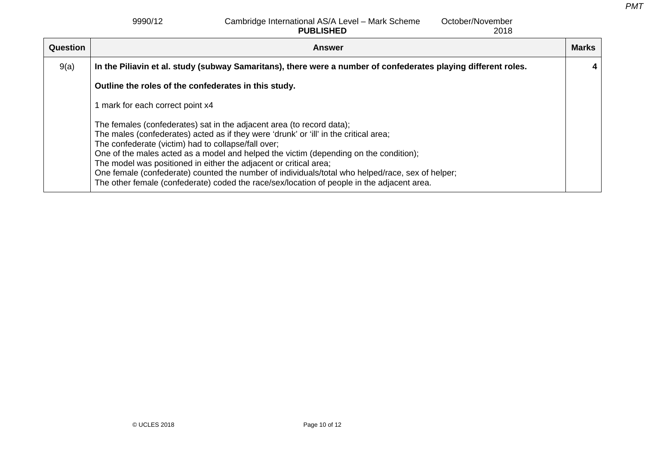9990/12 Cambridge International AS/A Level – Mark Scheme **PUBLISHED** October/November

2018

| Question | <b>Answer</b>                                                                                                                                                                                                                                                                                                                                                                                                                                                                                                                                                                         | <b>Marks</b> |
|----------|---------------------------------------------------------------------------------------------------------------------------------------------------------------------------------------------------------------------------------------------------------------------------------------------------------------------------------------------------------------------------------------------------------------------------------------------------------------------------------------------------------------------------------------------------------------------------------------|--------------|
| 9(a)     | In the Piliavin et al. study (subway Samaritans), there were a number of confederates playing different roles.                                                                                                                                                                                                                                                                                                                                                                                                                                                                        | 4            |
|          | Outline the roles of the confederates in this study.                                                                                                                                                                                                                                                                                                                                                                                                                                                                                                                                  |              |
|          | 1 mark for each correct point x4                                                                                                                                                                                                                                                                                                                                                                                                                                                                                                                                                      |              |
|          | The females (confederates) sat in the adjacent area (to record data);<br>The males (confederates) acted as if they were 'drunk' or 'ill' in the critical area;<br>The confederate (victim) had to collapse/fall over;<br>One of the males acted as a model and helped the victim (depending on the condition);<br>The model was positioned in either the adjacent or critical area;<br>One female (confederate) counted the number of individuals/total who helped/race, sex of helper;<br>The other female (confederate) coded the race/sex/location of people in the adjacent area. |              |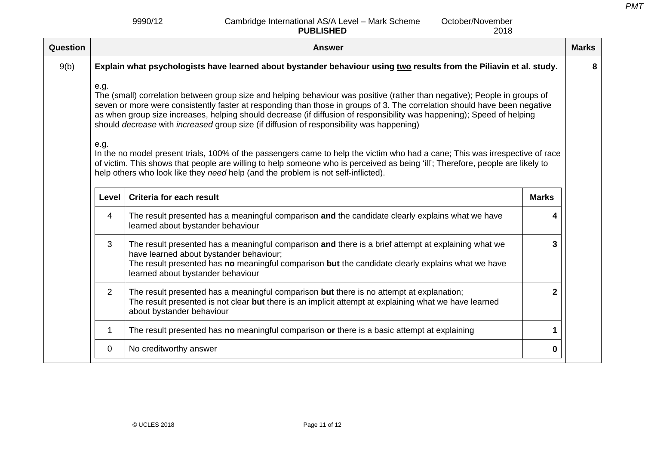2018

9990/12 Cambridge International AS/A Level – Mark Scheme **PUBLISHED**October/November

**Question Answer Marks 2016 19:00 Answer Marks 2016 19:00 Answer Marks 20:00 Answer Marks 20:00 Answer Marks 20:00** 9(b) **Explain what psychologists have learned about bystander behaviour using two results from the Piliavin et al. study.**  e.g. The (small) correlation between group size and helping behaviour was positive (rather than negative); People in groups of seven or more were consistently faster at responding than those in groups of 3. The correlation should have been negative as when group size increases, helping should decrease (if diffusion of responsibility was happening); Speed of helping should *decrease* with *increased* group size (if diffusion of responsibility was happening) e.g. In the no model present trials, 100% of the passengers came to help the victim who had a cane; This was irrespective of race of victim. This shows that people are willing to help someone who is perceived as being 'ill'; Therefore, people are likely to help others who look like they *need* help (and the problem is not self-inflicted). **Level Criteria for each result Marks** 4 The result presented has a meaningful comparison **and** the candidate clearly explains what we have learned about bystander behaviour **4**3 The result presented has a meaningful comparison **and** there is a brief attempt at explaining what we have learned about bystander behaviour; The result presented has **no** meaningful comparison **but** the candidate clearly explains what we have learned about bystander behaviour **3**2 The result presented has a meaningful comparison **but** there is no attempt at explanation; The result presented is not clear **but** there is an implicit attempt at explaining what we have learned about bystander behaviour **2**1 The result presented has **no** meaningful comparison **or** there is a basic attempt at explaining **1** 0 No creditworthy answer **0 8**